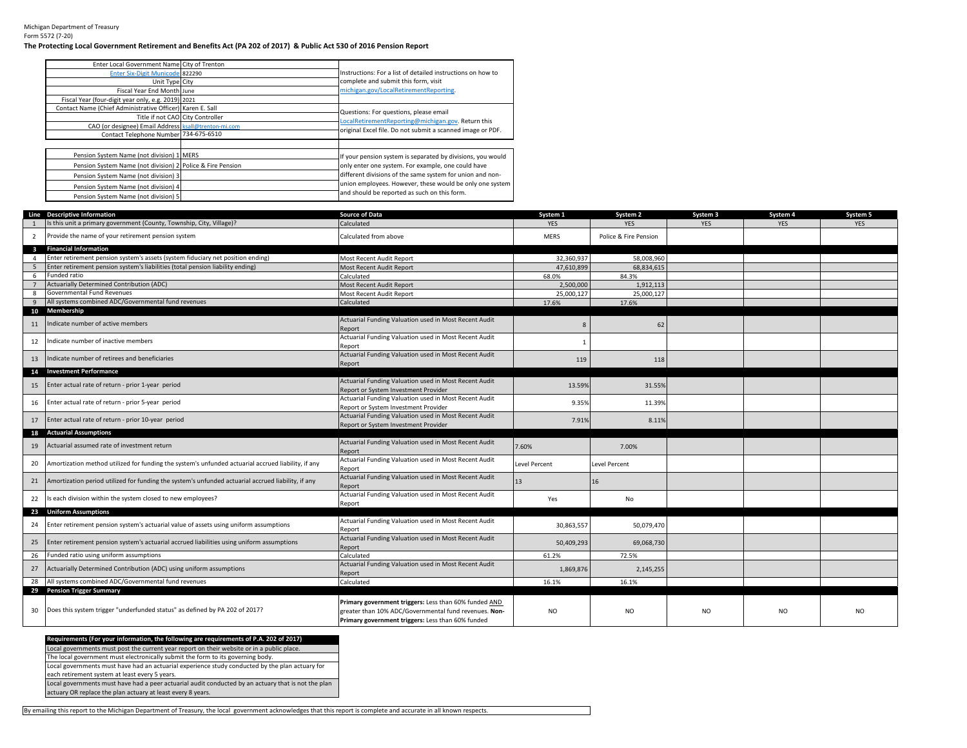Michigan Department of Treasury Form 5572 (7-20)

## **The Protecting Local Government Retirement and Benefits Act (PA 202 of 2017) & Public Act 530 of 2016 Pension Report**

| Enter Local Government Name City of Trenton                |                                                             |
|------------------------------------------------------------|-------------------------------------------------------------|
| Enter Six-Digit Municode 822290                            | Instructions: For a list of detailed instructions on how to |
| Unit Type City                                             | complete and submit this form, visit                        |
| Fiscal Year End Month June                                 | michigan.gov/LocalRetirementReporting.                      |
| Fiscal Year (four-digit year only, e.g. 2019) 2021         |                                                             |
| Contact Name (Chief Administrative Officer) Karen E. Sall  | Questions: For questions, please email                      |
| Title if not CAO City Controller                           | LocalRetirementReporting@michigan.gov. Return this          |
| CAO (or designee) Email Address ksall@trenton-mi.com       |                                                             |
| Contact Telephone Number 734-675-6510                      | original Excel file. Do not submit a scanned image or PDF.  |
|                                                            |                                                             |
| Pension System Name (not division) 1 MERS                  | If your pension system is separated by divisions, you would |
| Pension System Name (not division) 2 Police & Fire Pension | only enter one system. For example, one could have          |
| Pension System Name (not division) 3                       | different divisions of the same system for union and non-   |
| Pension System Name (not division) 4                       | union employees. However, these would be only one system    |
| Pension System Name (not division) 5                       | and should be reported as such on this form.                |

|                         | Line Descriptive Information                                                                       | Source of Data                                                                                                                                                      | System 1      | System 2              | System 3   | System 4   | System 5   |
|-------------------------|----------------------------------------------------------------------------------------------------|---------------------------------------------------------------------------------------------------------------------------------------------------------------------|---------------|-----------------------|------------|------------|------------|
|                         | Is this unit a primary government (County, Township, City, Village)?                               | Calculated                                                                                                                                                          | <b>YES</b>    | <b>YES</b>            | <b>YES</b> | <b>YES</b> | <b>YES</b> |
| $\overline{2}$          | Provide the name of your retirement pension system                                                 | Calculated from above                                                                                                                                               | MERS          | Police & Fire Pension |            |            |            |
| $\overline{\mathbf{3}}$ | <b>Financial Information</b>                                                                       |                                                                                                                                                                     |               |                       |            |            |            |
| 4                       | Enter retirement pension system's assets (system fiduciary net position ending)                    | Most Recent Audit Report                                                                                                                                            | 32.360.937    | 58.008.960            |            |            |            |
| -5                      | Enter retirement pension system's liabilities (total pension liability ending)                     | Most Recent Audit Report                                                                                                                                            | 47,610,899    | 68,834,615            |            |            |            |
| 6                       | Funded ratio                                                                                       | Calculated                                                                                                                                                          | 68.0%         | 84.3%                 |            |            |            |
| $\overline{7}$          | Actuarially Determined Contribution (ADC)                                                          | Most Recent Audit Report                                                                                                                                            | 2.500.000     | 1.912.113             |            |            |            |
| 8                       | Governmental Fund Revenues                                                                         | Most Recent Audit Report                                                                                                                                            | 25,000,127    | 25,000,127            |            |            |            |
| 9                       | All systems combined ADC/Governmental fund revenues                                                | Calculated                                                                                                                                                          | 17.6%         | 17.6%                 |            |            |            |
| 10                      | Membership                                                                                         |                                                                                                                                                                     |               |                       |            |            |            |
| 11                      | Indicate number of active members                                                                  | Actuarial Funding Valuation used in Most Recent Audit<br>Report                                                                                                     | 8             | 62                    |            |            |            |
| 12                      | Indicate number of inactive members                                                                | Actuarial Funding Valuation used in Most Recent Audit<br>Report                                                                                                     |               |                       |            |            |            |
| 13                      | Indicate number of retirees and beneficiaries                                                      | Actuarial Funding Valuation used in Most Recent Audit<br>Report                                                                                                     | 119           | 118                   |            |            |            |
| 14                      | <b>Investment Performance</b>                                                                      |                                                                                                                                                                     |               |                       |            |            |            |
| 15                      | Enter actual rate of return - prior 1-year period                                                  | Actuarial Funding Valuation used in Most Recent Audit<br>Report or System Investment Provider                                                                       | 13.59%        | 31.55%                |            |            |            |
| 16                      | Enter actual rate of return - prior 5-year period                                                  | Actuarial Funding Valuation used in Most Recent Audit<br>Report or System Investment Provider                                                                       | 9.35%         | 11.39%                |            |            |            |
| 17                      | Enter actual rate of return - prior 10-year period                                                 | Actuarial Funding Valuation used in Most Recent Audit<br>Report or System Investment Provider                                                                       | 7.91%         | 8.11%                 |            |            |            |
|                         | 18 Actuarial Assumptions                                                                           |                                                                                                                                                                     |               |                       |            |            |            |
| 19                      | Actuarial assumed rate of investment return                                                        | Actuarial Funding Valuation used in Most Recent Audit<br>Report                                                                                                     | 7.60%         | 7.00%                 |            |            |            |
| 20                      | Amortization method utilized for funding the system's unfunded actuarial accrued liability, if any | Actuarial Funding Valuation used in Most Recent Audit<br>Report                                                                                                     | Level Percent | Level Percent         |            |            |            |
| 21                      | Amortization period utilized for funding the system's unfunded actuarial accrued liability, if any | Actuarial Funding Valuation used in Most Recent Audit<br>Report                                                                                                     | 13            | 16                    |            |            |            |
| 22                      | Is each division within the system closed to new employees?                                        | Actuarial Funding Valuation used in Most Recent Audit<br>Report                                                                                                     | Yes           | No                    |            |            |            |
|                         | 23 Uniform Assumptions                                                                             |                                                                                                                                                                     |               |                       |            |            |            |
| 24                      | Enter retirement pension system's actuarial value of assets using uniform assumptions              | Actuarial Funding Valuation used in Most Recent Audit<br>Report                                                                                                     | 30,863,557    | 50,079,470            |            |            |            |
| 25                      | Enter retirement pension system's actuarial accrued liabilities using uniform assumptions          | Actuarial Funding Valuation used in Most Recent Audit<br>Report                                                                                                     | 50,409,293    | 69,068,730            |            |            |            |
| 26                      | Funded ratio using uniform assumptions                                                             | Calculated                                                                                                                                                          | 61.2%         | 72.5%                 |            |            |            |
| 27                      | Actuarially Determined Contribution (ADC) using uniform assumptions                                | Actuarial Funding Valuation used in Most Recent Audit<br>Report                                                                                                     | 1,869,876     | 2,145,255             |            |            |            |
| 28                      | All systems combined ADC/Governmental fund revenues                                                | Calculated                                                                                                                                                          | 16.1%         | 16.1%                 |            |            |            |
|                         | 29 Pension Trigger Summary                                                                         |                                                                                                                                                                     |               |                       |            |            |            |
| 30                      | Does this system trigger "underfunded status" as defined by PA 202 of 2017?                        | Primary government triggers: Less than 60% funded AND<br>greater than 10% ADC/Governmental fund revenues. Non-<br>Primary government triggers: Less than 60% funded | NO.           | <b>NO</b>             | NO.        | NO.        | NO.        |

## **Requirements (For your information, the following are requirements of P.A. 202 of 2017)** Local governments must post the current year report on their website or in a public place. Local governments must have had an actuarial experience study conducted by the plan actuary for The local government must electronically submit the form to its governing body.

each retirement system at least every 5 years.

Local governments must have had a peer actuarial audit conducted by an actuary that is not the plan actuary OR replace the plan actuary at least every 8 years.

By emailing this report to the Michigan Department of Treasury, the local government acknowledges that this report is complete and accurate in all known respects.